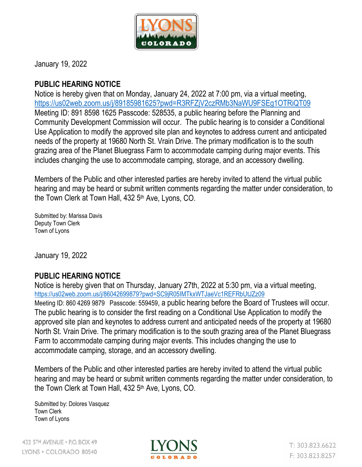

January 19, 2022

## **PUBLIC HEARING NOTICE**

Notice is hereby given that on Monday, January 24, 2022 at 7:00 pm, via a virtual meeting, <https://us02web.zoom.us/j/89185981625?pwd=R3RFZjV2czRMb3NaWU9FSEg1OTRiQT09> Meeting ID: 891 8598 1625 Passcode: 528535, a public hearing before the Planning and Community Development Commission will occur. The public hearing is to consider a Conditional Use Application to modify the approved site plan and keynotes to address current and anticipated needs of the property at 19680 North St. Vrain Drive. The primary modification is to the south grazing area of the Planet Bluegrass Farm to accommodate camping during major events. This includes changing the use to accommodate camping, storage, and an accessory dwelling.

Members of the Public and other interested parties are hereby invited to attend the virtual public hearing and may be heard or submit written comments regarding the matter under consideration, to the Town Clerk at Town Hall, 432 5<sup>th</sup> Ave, Lyons, CO.

Submitted by: Marissa Davis Deputy Town Clerk Town of Lyons

January 19, 2022

## **PUBLIC HEARING NOTICE**

Notice is hereby given that on Thursday, January 27th, 2022 at 5:30 pm, via a virtual meeting, <https://us02web.zoom.us/j/86042699879?pwd=SC9jR05IMTkxWTJaeVc1REFRbUtJZz09> Meeting ID: 860 4269 9879 Passcode: 559459, a public hearing before the Board of Trustees will occur. The public hearing is to consider the first reading on a Conditional Use Application to modify the approved site plan and keynotes to address current and anticipated needs of the property at 19680 North St. Vrain Drive. The primary modification is to the south grazing area of the Planet Bluegrass Farm to accommodate camping during major events. This includes changing the use to accommodate camping, storage, and an accessory dwelling.

Members of the Public and other interested parties are hereby invited to attend the virtual public hearing and may be heard or submit written comments regarding the matter under consideration, to the Town Clerk at Town Hall, 432 5<sup>th</sup> Ave, Lyons, CO.

Submitted by: Dolores Vasquez Town Clerk Town of Lyons